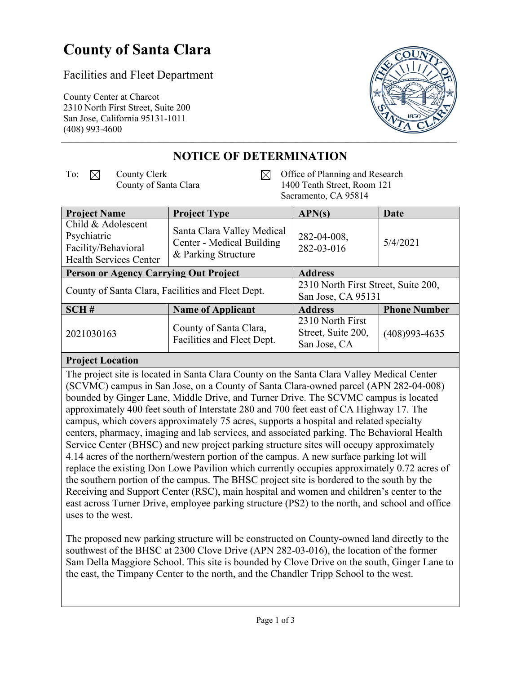# **County of Santa Clara**

### Facilities and Fleet Department

County Center at Charcot 2310 North First Street, Suite 200 San Jose, California 95131-1011 (408) 993-4600



## **NOTICE OF DETERMINATION**

- To:  $\boxtimes$  County Clerk County of Santa Clara
- Office of Planning and Research  $\boxtimes$ 1400 Tenth Street, Room 121 Sacramento, CA 95814

| <b>Project Name</b>                                                                       | <b>Project Type</b>                                                            | APN(s)                                                    | Date                |
|-------------------------------------------------------------------------------------------|--------------------------------------------------------------------------------|-----------------------------------------------------------|---------------------|
| Child & Adolescent<br>Psychiatric<br>Facility/Behavioral<br><b>Health Services Center</b> | Santa Clara Valley Medical<br>Center - Medical Building<br>& Parking Structure | 282-04-008,<br>282-03-016                                 | 5/4/2021            |
| <b>Person or Agency Carrying Out Project</b>                                              |                                                                                | <b>Address</b>                                            |                     |
| County of Santa Clara, Facilities and Fleet Dept.                                         |                                                                                | 2310 North First Street, Suite 200,<br>San Jose, CA 95131 |                     |
|                                                                                           |                                                                                |                                                           |                     |
| SCH#                                                                                      | <b>Name of Applicant</b>                                                       | <b>Address</b>                                            | <b>Phone Number</b> |
| 2021030163                                                                                | County of Santa Clara,<br>Facilities and Fleet Dept.                           | 2310 North First                                          |                     |
|                                                                                           |                                                                                | Street, Suite 200,                                        | $(408)993 - 4635$   |
|                                                                                           |                                                                                | San Jose, CA                                              |                     |

#### **Project Location**

The project site is located in Santa Clara County on the Santa Clara Valley Medical Center (SCVMC) campus in San Jose, on a County of Santa Clara-owned parcel (APN 282-04-008) bounded by Ginger Lane, Middle Drive, and Turner Drive. The SCVMC campus is located approximately 400 feet south of Interstate 280 and 700 feet east of CA Highway 17. The campus, which covers approximately 75 acres, supports a hospital and related specialty centers, pharmacy, imaging and lab services, and associated parking. The Behavioral Health Service Center (BHSC) and new project parking structure sites will occupy approximately 4.14 acres of the northern/western portion of the campus. A new surface parking lot will replace the existing Don Lowe Pavilion which currently occupies approximately 0.72 acres of the southern portion of the campus. The BHSC project site is bordered to the south by the Receiving and Support Center (RSC), main hospital and women and children's center to the east across Turner Drive, employee parking structure (PS2) to the north, and school and office uses to the west.

The proposed new parking structure will be constructed on County-owned land directly to the southwest of the BHSC at 2300 Clove Drive (APN 282-03-016), the location of the former Sam Della Maggiore School. This site is bounded by Clove Drive on the south, Ginger Lane to the east, the Timpany Center to the north, and the Chandler Tripp School to the west.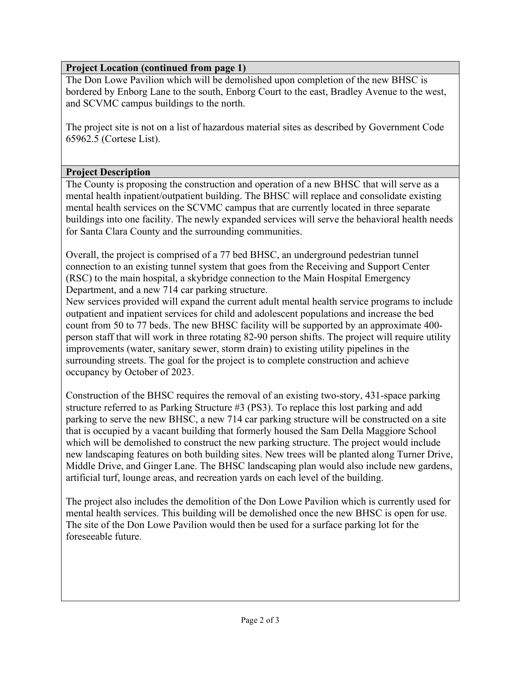#### **Project Location (continued from page 1)**

The Don Lowe Pavilion which will be demolished upon completion of the new BHSC is bordered by Enborg Lane to the south, Enborg Court to the east, Bradley Avenue to the west, and SCVMC campus buildings to the north.

The project site is not on a list of hazardous material sites as described by Government Code 65962.5 (Cortese List).

#### **Project Description**

The County is proposing the construction and operation of a new BHSC that will serve as a mental health inpatient/outpatient building. The BHSC will replace and consolidate existing mental health services on the SCVMC campus that are currently located in three separate buildings into one facility. The newly expanded services will serve the behavioral health needs for Santa Clara County and the surrounding communities.

Overall, the project is comprised of a 77 bed BHSC, an underground pedestrian tunnel connection to an existing tunnel system that goes from the Receiving and Support Center (RSC) to the main hospital, a skybridge connection to the Main Hospital Emergency Department, and a new 714 car parking structure.

New services provided will expand the current adult mental health service programs to include outpatient and inpatient services for child and adolescent populations and increase the bed count from 50 to 77 beds. The new BHSC facility will be supported by an approximate 400 person staff that will work in three rotating 82-90 person shifts. The project will require utility improvements (water, sanitary sewer, storm drain) to existing utility pipelines in the surrounding streets. The goal for the project is to complete construction and achieve occupancy by October of 2023.

Construction of the BHSC requires the removal of an existing two-story, 431-space parking structure referred to as Parking Structure #3 (PS3). To replace this lost parking and add parking to serve the new BHSC, a new 714 car parking structure will be constructed on a site that is occupied by a vacant building that formerly housed the Sam Della Maggiore School which will be demolished to construct the new parking structure. The project would include new landscaping features on both building sites. New trees will be planted along Turner Drive, Middle Drive, and Ginger Lane. The BHSC landscaping plan would also include new gardens, artificial turf, lounge areas, and recreation yards on each level of the building.

The project also includes the demolition of the Don Lowe Pavilion which is currently used for mental health services. This building will be demolished once the new BHSC is open for use. The site of the Don Lowe Pavilion would then be used for a surface parking lot for the foreseeable future.